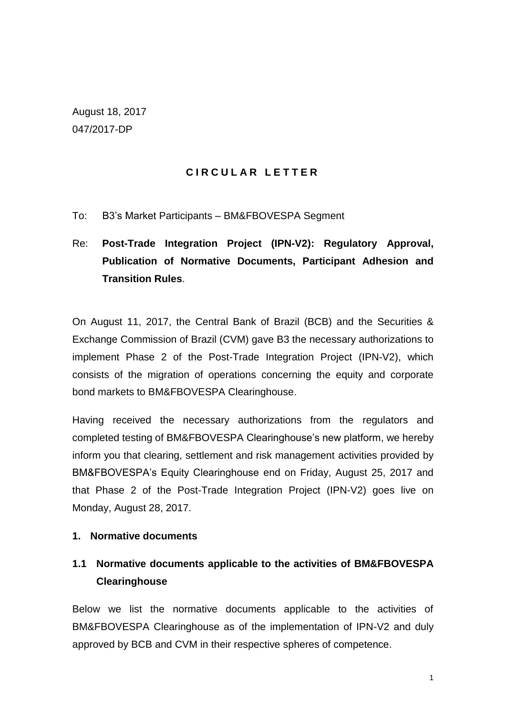August 18, 2017 047/2017-DP

## **C I R C U L A R L E T T E R**

To: B3's Market Participants – BM&FBOVESPA Segment

# Re: **Post-Trade Integration Project (IPN-V2): Regulatory Approval, Publication of Normative Documents, Participant Adhesion and Transition Rules**.

On August 11, 2017, the Central Bank of Brazil (BCB) and the Securities & Exchange Commission of Brazil (CVM) gave B3 the necessary authorizations to implement Phase 2 of the Post-Trade Integration Project (IPN-V2), which consists of the migration of operations concerning the equity and corporate bond markets to BM&FBOVESPA Clearinghouse.

Having received the necessary authorizations from the regulators and completed testing of BM&FBOVESPA Clearinghouse's new platform, we hereby inform you that clearing, settlement and risk management activities provided by BM&FBOVESPA's Equity Clearinghouse end on Friday, August 25, 2017 and that Phase 2 of the Post-Trade Integration Project (IPN-V2) goes live on Monday, August 28, 2017.

#### **1. Normative documents**

## **1.1 Normative documents applicable to the activities of BM&FBOVESPA Clearinghouse**

Below we list the normative documents applicable to the activities of BM&FBOVESPA Clearinghouse as of the implementation of IPN-V2 and duly approved by BCB and CVM in their respective spheres of competence.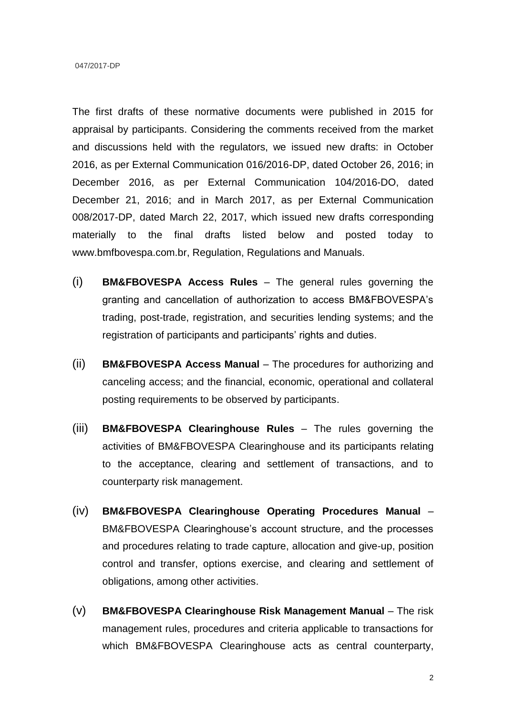The first drafts of these normative documents were published in 2015 for appraisal by participants. Considering the comments received from the market and discussions held with the regulators, we issued new drafts: in October 2016, as per External Communication 016/2016-DP, dated October 26, 2016; in December 2016, as per External Communication 104/2016-DO, dated December 21, 2016; and in March 2017, as per External Communication 008/2017-DP, dated March 22, 2017, which issued new drafts corresponding materially to the final drafts listed below and posted today to www.bmfbovespa.com.br, Regulation, Regulations and Manuals.

- (i) **BM&FBOVESPA Access Rules** The general rules governing the granting and cancellation of authorization to access BM&FBOVESPA's trading, post-trade, registration, and securities lending systems; and the registration of participants and participants' rights and duties.
- (ii) **BM&FBOVESPA Access Manual**  The procedures for authorizing and canceling access; and the financial, economic, operational and collateral posting requirements to be observed by participants.
- (iii) **BM&FBOVESPA Clearinghouse Rules** The rules governing the activities of BM&FBOVESPA Clearinghouse and its participants relating to the acceptance, clearing and settlement of transactions, and to counterparty risk management.
- (iv) **BM&FBOVESPA Clearinghouse Operating Procedures Manual** BM&FBOVESPA Clearinghouse's account structure, and the processes and procedures relating to trade capture, allocation and give-up, position control and transfer, options exercise, and clearing and settlement of obligations, among other activities.
- (v) **BM&FBOVESPA Clearinghouse Risk Management Manual** The risk management rules, procedures and criteria applicable to transactions for which BM&FBOVESPA Clearinghouse acts as central counterparty,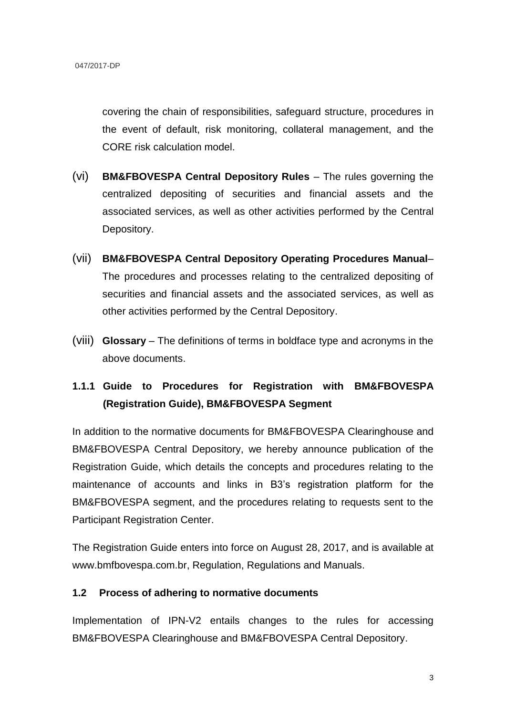covering the chain of responsibilities, safeguard structure, procedures in the event of default, risk monitoring, collateral management, and the CORE risk calculation model.

- (vi) **BM&FBOVESPA Central Depository Rules** The rules governing the centralized depositing of securities and financial assets and the associated services, as well as other activities performed by the Central Depository.
- (vii) **BM&FBOVESPA Central Depository Operating Procedures Manual** The procedures and processes relating to the centralized depositing of securities and financial assets and the associated services, as well as other activities performed by the Central Depository.
- (viii) **Glossary**  The definitions of terms in boldface type and acronyms in the above documents.

## **1.1.1 Guide to Procedures for Registration with BM&FBOVESPA (Registration Guide), BM&FBOVESPA Segment**

In addition to the normative documents for BM&FBOVESPA Clearinghouse and BM&FBOVESPA Central Depository, we hereby announce publication of the Registration Guide, which details the concepts and procedures relating to the maintenance of accounts and links in B3's registration platform for the BM&FBOVESPA segment, and the procedures relating to requests sent to the Participant Registration Center.

The Registration Guide enters into force on August 28, 2017, and is available at www.bmfbovespa.com.br, Regulation, Regulations and Manuals.

#### **1.2 Process of adhering to normative documents**

Implementation of IPN-V2 entails changes to the rules for accessing BM&FBOVESPA Clearinghouse and BM&FBOVESPA Central Depository.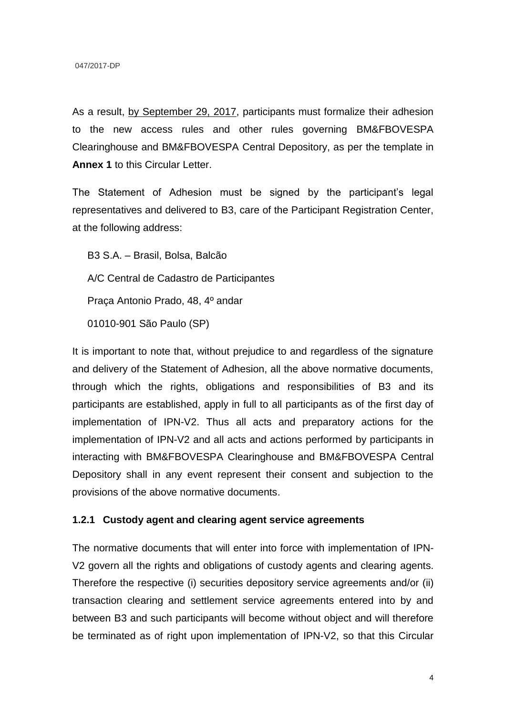As a result, by September 29, 2017, participants must formalize their adhesion to the new access rules and other rules governing BM&FBOVESPA Clearinghouse and BM&FBOVESPA Central Depository, as per the template in **Annex 1** to this Circular Letter.

The Statement of Adhesion must be signed by the participant's legal representatives and delivered to B3, care of the Participant Registration Center, at the following address:

B3 S.A. – Brasil, Bolsa, Balcão A/C Central de Cadastro de Participantes Praça Antonio Prado, 48, 4º andar 01010-901 São Paulo (SP)

It is important to note that, without prejudice to and regardless of the signature and delivery of the Statement of Adhesion, all the above normative documents, through which the rights, obligations and responsibilities of B3 and its participants are established, apply in full to all participants as of the first day of implementation of IPN-V2. Thus all acts and preparatory actions for the implementation of IPN-V2 and all acts and actions performed by participants in interacting with BM&FBOVESPA Clearinghouse and BM&FBOVESPA Central Depository shall in any event represent their consent and subjection to the provisions of the above normative documents.

#### **1.2.1 Custody agent and clearing agent service agreements**

The normative documents that will enter into force with implementation of IPN-V2 govern all the rights and obligations of custody agents and clearing agents. Therefore the respective (i) securities depository service agreements and/or (ii) transaction clearing and settlement service agreements entered into by and between B3 and such participants will become without object and will therefore be terminated as of right upon implementation of IPN-V2, so that this Circular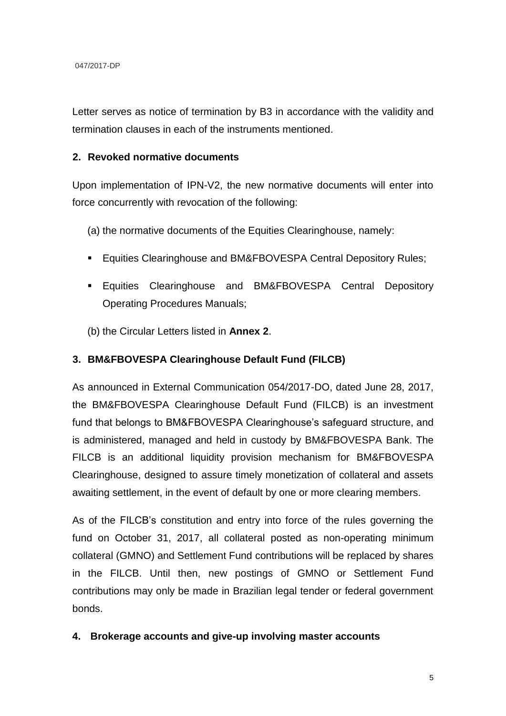Letter serves as notice of termination by B3 in accordance with the validity and termination clauses in each of the instruments mentioned.

#### **2. Revoked normative documents**

Upon implementation of IPN-V2, the new normative documents will enter into force concurrently with revocation of the following:

(a) the normative documents of the Equities Clearinghouse, namely:

- **Equities Clearinghouse and BM&FBOVESPA Central Depository Rules;**
- **Equities Clearinghouse and BM&FBOVESPA Central Depository** Operating Procedures Manuals;

(b) the Circular Letters listed in **Annex 2**.

## **3. BM&FBOVESPA Clearinghouse Default Fund (FILCB)**

As announced in External Communication 054/2017-DO, dated June 28, 2017, the BM&FBOVESPA Clearinghouse Default Fund (FILCB) is an investment fund that belongs to BM&FBOVESPA Clearinghouse's safeguard structure, and is administered, managed and held in custody by BM&FBOVESPA Bank. The FILCB is an additional liquidity provision mechanism for BM&FBOVESPA Clearinghouse, designed to assure timely monetization of collateral and assets awaiting settlement, in the event of default by one or more clearing members.

As of the FILCB's constitution and entry into force of the rules governing the fund on October 31, 2017, all collateral posted as non-operating minimum collateral (GMNO) and Settlement Fund contributions will be replaced by shares in the FILCB. Until then, new postings of GMNO or Settlement Fund contributions may only be made in Brazilian legal tender or federal government bonds.

#### **4. Brokerage accounts and give-up involving master accounts**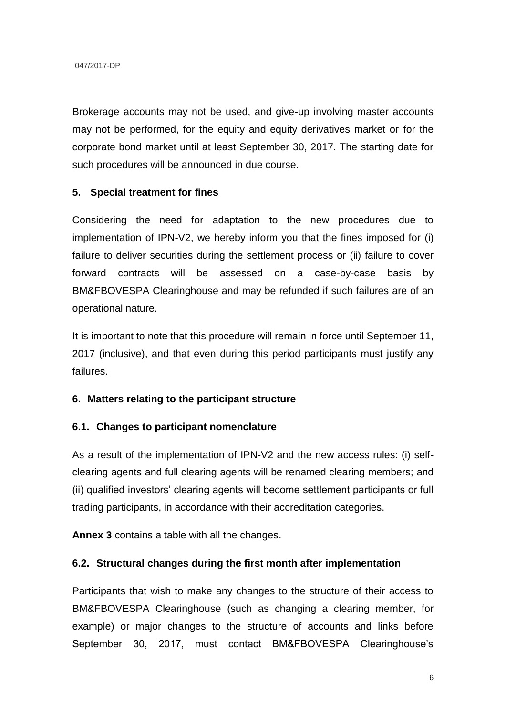Brokerage accounts may not be used, and give-up involving master accounts may not be performed, for the equity and equity derivatives market or for the corporate bond market until at least September 30, 2017. The starting date for such procedures will be announced in due course.

#### **5. Special treatment for fines**

Considering the need for adaptation to the new procedures due to implementation of IPN-V2, we hereby inform you that the fines imposed for (i) failure to deliver securities during the settlement process or (ii) failure to cover forward contracts will be assessed on a case-by-case basis by BM&FBOVESPA Clearinghouse and may be refunded if such failures are of an operational nature.

It is important to note that this procedure will remain in force until September 11, 2017 (inclusive), and that even during this period participants must justify any failures.

#### **6. Matters relating to the participant structure**

#### **6.1. Changes to participant nomenclature**

As a result of the implementation of IPN-V2 and the new access rules: (i) selfclearing agents and full clearing agents will be renamed clearing members; and (ii) qualified investors' clearing agents will become settlement participants or full trading participants, in accordance with their accreditation categories.

**Annex 3** contains a table with all the changes.

#### **6.2. Structural changes during the first month after implementation**

Participants that wish to make any changes to the structure of their access to BM&FBOVESPA Clearinghouse (such as changing a clearing member, for example) or major changes to the structure of accounts and links before September 30, 2017, must contact BM&FBOVESPA Clearinghouse's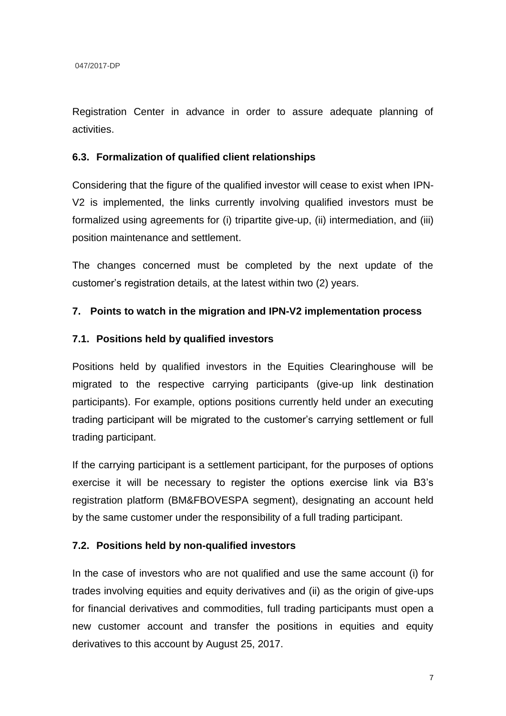Registration Center in advance in order to assure adequate planning of activities.

### **6.3. Formalization of qualified client relationships**

Considering that the figure of the qualified investor will cease to exist when IPN-V2 is implemented, the links currently involving qualified investors must be formalized using agreements for (i) tripartite give-up, (ii) intermediation, and (iii) position maintenance and settlement.

The changes concerned must be completed by the next update of the customer's registration details, at the latest within two (2) years.

### **7. Points to watch in the migration and IPN-V2 implementation process**

#### **7.1. Positions held by qualified investors**

Positions held by qualified investors in the Equities Clearinghouse will be migrated to the respective carrying participants (give-up link destination participants). For example, options positions currently held under an executing trading participant will be migrated to the customer's carrying settlement or full trading participant.

If the carrying participant is a settlement participant, for the purposes of options exercise it will be necessary to register the options exercise link via B3's registration platform (BM&FBOVESPA segment), designating an account held by the same customer under the responsibility of a full trading participant.

## **7.2. Positions held by non-qualified investors**

In the case of investors who are not qualified and use the same account (i) for trades involving equities and equity derivatives and (ii) as the origin of give-ups for financial derivatives and commodities, full trading participants must open a new customer account and transfer the positions in equities and equity derivatives to this account by August 25, 2017.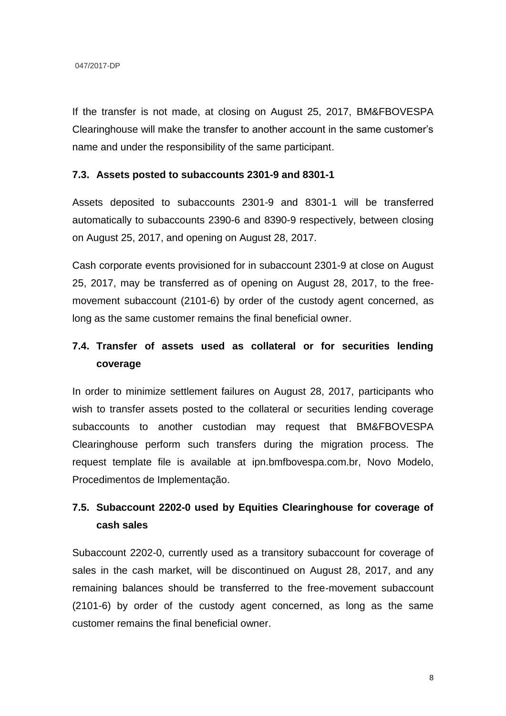If the transfer is not made, at closing on August 25, 2017, BM&FBOVESPA Clearinghouse will make the transfer to another account in the same customer's name and under the responsibility of the same participant.

#### **7.3. Assets posted to subaccounts 2301-9 and 8301-1**

Assets deposited to subaccounts 2301-9 and 8301-1 will be transferred automatically to subaccounts 2390-6 and 8390-9 respectively, between closing on August 25, 2017, and opening on August 28, 2017.

Cash corporate events provisioned for in subaccount 2301-9 at close on August 25, 2017, may be transferred as of opening on August 28, 2017, to the freemovement subaccount (2101-6) by order of the custody agent concerned, as long as the same customer remains the final beneficial owner.

## **7.4. Transfer of assets used as collateral or for securities lending coverage**

In order to minimize settlement failures on August 28, 2017, participants who wish to transfer assets posted to the collateral or securities lending coverage subaccounts to another custodian may request that BM&FBOVESPA Clearinghouse perform such transfers during the migration process. The request template file is available at [ipn.bmfbovespa.com.br,](http://ipn.bmfbovespa.com.br/) Novo Modelo, Procedimentos de Implementação.

## **7.5. Subaccount 2202-0 used by Equities Clearinghouse for coverage of cash sales**

Subaccount 2202-0, currently used as a transitory subaccount for coverage of sales in the cash market, will be discontinued on August 28, 2017, and any remaining balances should be transferred to the free-movement subaccount (2101-6) by order of the custody agent concerned, as long as the same customer remains the final beneficial owner.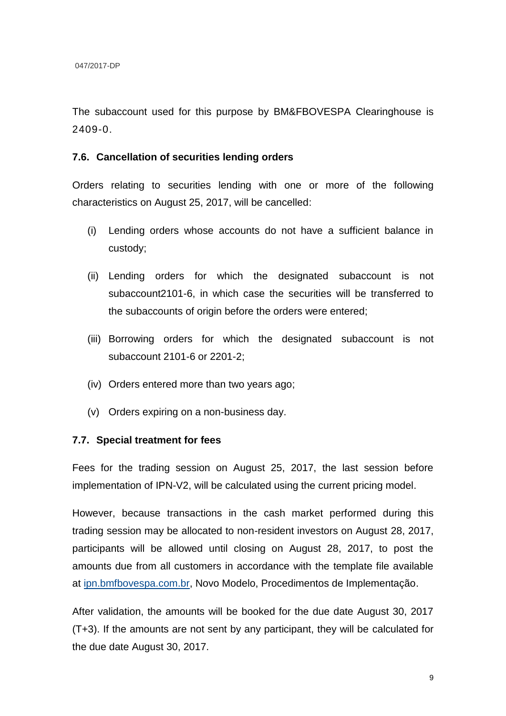The subaccount used for this purpose by BM&FBOVESPA Clearinghouse is 2409-0.

#### **7.6. Cancellation of securities lending orders**

Orders relating to securities lending with one or more of the following characteristics on August 25, 2017, will be cancelled:

- (i) Lending orders whose accounts do not have a sufficient balance in custody;
- (ii) Lending orders for which the designated subaccount is not subaccount2101-6, in which case the securities will be transferred to the subaccounts of origin before the orders were entered;
- (iii) Borrowing orders for which the designated subaccount is not subaccount 2101-6 or 2201-2;
- (iv) Orders entered more than two years ago;
- (v) Orders expiring on a non-business day.

#### **7.7. Special treatment for fees**

Fees for the trading session on August 25, 2017, the last session before implementation of IPN-V2, will be calculated using the current pricing model.

However, because transactions in the cash market performed during this trading session may be allocated to non-resident investors on August 28, 2017, participants will be allowed until closing on August 28, 2017, to post the amounts due from all customers in accordance with the template file available at [ipn.bmfbovespa.com.br,](http://ipn.bmfbovespa.com.br/) Novo Modelo, Procedimentos de Implementação.

After validation, the amounts will be booked for the due date August 30, 2017 (T+3). If the amounts are not sent by any participant, they will be calculated for the due date August 30, 2017.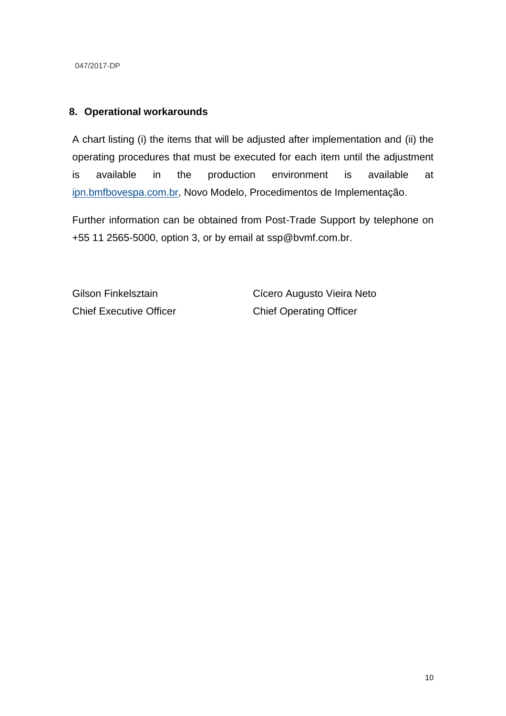047/2017-DP

### **8. Operational workarounds**

A chart listing (i) the items that will be adjusted after implementation and (ii) the operating procedures that must be executed for each item until the adjustment is available in the production environment is available at [ipn.bmfbovespa.com.br,](http://ipn.bmfbovespa.com.br/) Novo Modelo, Procedimentos de Implementação.

Further information can be obtained from Post-Trade Support by telephone on +55 11 2565-5000, option 3, or by email at ssp@bvmf.com.br.

Gilson Finkelsztain Chief Executive Officer Cícero Augusto Vieira Neto Chief Operating Officer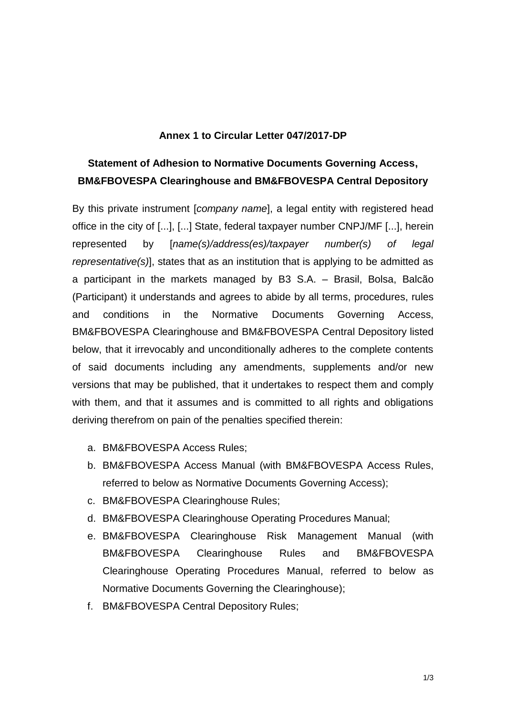#### **Annex 1 to Circular Letter 047/2017-DP**

## **Statement of Adhesion to Normative Documents Governing Access, BM&FBOVESPA Clearinghouse and BM&FBOVESPA Central Depository**

By this private instrument [*company name*], a legal entity with registered head office in the city of [...], [...] State, federal taxpayer number CNPJ/MF [...], herein represented by [*name(s)/address(es)/taxpayer number(s) of legal representative(s)*], states that as an institution that is applying to be admitted as a participant in the markets managed by B3 S.A. – Brasil, Bolsa, Balcão (Participant) it understands and agrees to abide by all terms, procedures, rules and conditions in the Normative Documents Governing Access, BM&FBOVESPA Clearinghouse and BM&FBOVESPA Central Depository listed below, that it irrevocably and unconditionally adheres to the complete contents of said documents including any amendments, supplements and/or new versions that may be published, that it undertakes to respect them and comply with them, and that it assumes and is committed to all rights and obligations deriving therefrom on pain of the penalties specified therein:

- a. BM&FBOVESPA Access Rules;
- b. BM&FBOVESPA Access Manual (with BM&FBOVESPA Access Rules, referred to below as Normative Documents Governing Access);
- c. BM&FBOVESPA Clearinghouse Rules;
- d. BM&FBOVESPA Clearinghouse Operating Procedures Manual;
- e. BM&FBOVESPA Clearinghouse Risk Management Manual (with BM&FBOVESPA Clearinghouse Rules and BM&FBOVESPA Clearinghouse Operating Procedures Manual, referred to below as Normative Documents Governing the Clearinghouse);
- f. BM&FBOVESPA Central Depository Rules;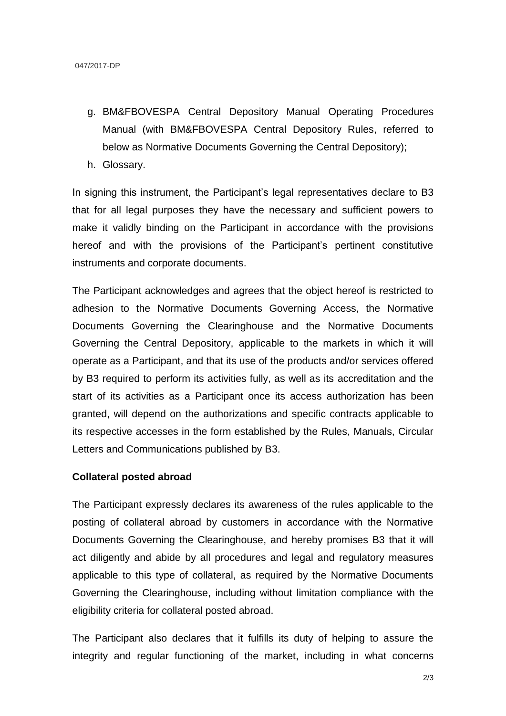- g. BM&FBOVESPA Central Depository Manual Operating Procedures Manual (with BM&FBOVESPA Central Depository Rules, referred to below as Normative Documents Governing the Central Depository);
- h. Glossary.

In signing this instrument, the Participant's legal representatives declare to B3 that for all legal purposes they have the necessary and sufficient powers to make it validly binding on the Participant in accordance with the provisions hereof and with the provisions of the Participant's pertinent constitutive instruments and corporate documents.

The Participant acknowledges and agrees that the object hereof is restricted to adhesion to the Normative Documents Governing Access, the Normative Documents Governing the Clearinghouse and the Normative Documents Governing the Central Depository, applicable to the markets in which it will operate as a Participant, and that its use of the products and/or services offered by B3 required to perform its activities fully, as well as its accreditation and the start of its activities as a Participant once its access authorization has been granted, will depend on the authorizations and specific contracts applicable to its respective accesses in the form established by the Rules, Manuals, Circular Letters and Communications published by B3.

#### **Collateral posted abroad**

The Participant expressly declares its awareness of the rules applicable to the posting of collateral abroad by customers in accordance with the Normative Documents Governing the Clearinghouse, and hereby promises B3 that it will act diligently and abide by all procedures and legal and regulatory measures applicable to this type of collateral, as required by the Normative Documents Governing the Clearinghouse, including without limitation compliance with the eligibility criteria for collateral posted abroad.

The Participant also declares that it fulfills its duty of helping to assure the integrity and regular functioning of the market, including in what concerns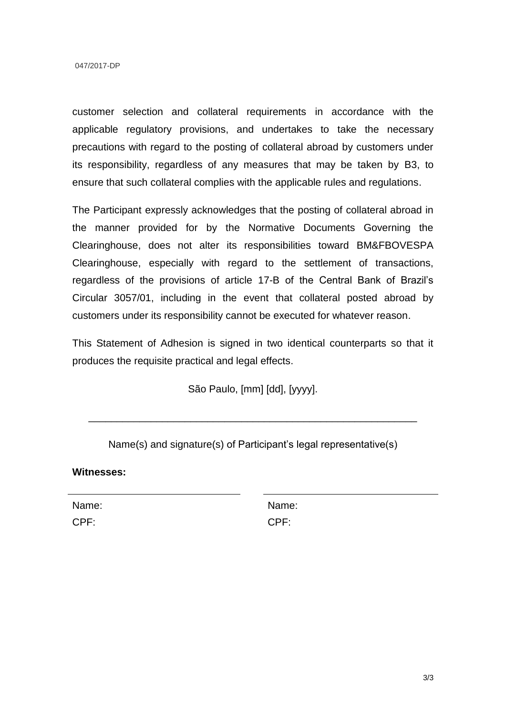customer selection and collateral requirements in accordance with the applicable regulatory provisions, and undertakes to take the necessary precautions with regard to the posting of collateral abroad by customers under its responsibility, regardless of any measures that may be taken by B3, to ensure that such collateral complies with the applicable rules and regulations.

The Participant expressly acknowledges that the posting of collateral abroad in the manner provided for by the Normative Documents Governing the Clearinghouse, does not alter its responsibilities toward BM&FBOVESPA Clearinghouse, especially with regard to the settlement of transactions, regardless of the provisions of article 17-B of the Central Bank of Brazil's Circular 3057/01, including in the event that collateral posted abroad by customers under its responsibility cannot be executed for whatever reason.

This Statement of Adhesion is signed in two identical counterparts so that it produces the requisite practical and legal effects.

São Paulo, [mm] [dd], [yyyy].

\_\_\_\_\_\_\_\_\_\_\_\_\_\_\_\_\_\_\_\_\_\_\_\_\_\_\_\_\_\_\_\_\_\_\_\_\_\_\_\_\_\_\_\_\_\_\_\_\_\_\_\_\_\_\_\_\_\_

Name(s) and signature(s) of Participant's legal representative(s)

**Witnesses:**

Name: CPF:

Name: CPF: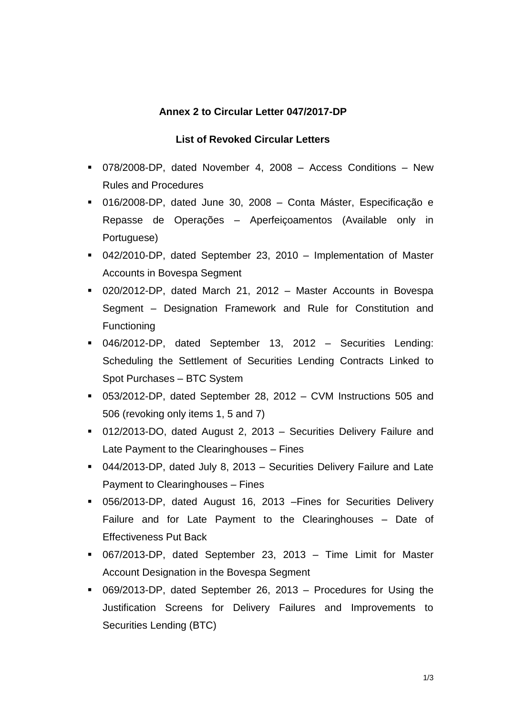## **Annex 2 to Circular Letter 047/2017-DP**

## **List of Revoked Circular Letters**

- 078/2008-DP, dated November 4, 2008 Access Conditions New Rules and Procedures
- 016/2008-DP, dated June 30, 2008 Conta Máster, Especificação e Repasse de Operações – Aperfeiçoamentos (Available only in Portuguese)
- 042/2010-DP, dated September 23, 2010 Implementation of Master Accounts in Bovespa Segment
- 020/2012-DP, dated March 21, 2012 Master Accounts in Bovespa Segment – Designation Framework and Rule for Constitution and Functioning
- 046/2012-DP, dated September 13, 2012 Securities Lending: Scheduling the Settlement of Securities Lending Contracts Linked to Spot Purchases – BTC System
- 053/2012-DP, dated September 28, 2012 CVM Instructions 505 and 506 (revoking only items 1, 5 and 7)
- 012/2013-DO, dated August 2, 2013 Securities Delivery Failure and Late Payment to the Clearinghouses – Fines
- 044/2013-DP, dated July 8, 2013 Securities Delivery Failure and Late Payment to Clearinghouses – Fines
- 056/2013-DP, dated August 16, 2013 –Fines for Securities Delivery Failure and for Late Payment to the Clearinghouses – Date of Effectiveness Put Back
- 067/2013-DP, dated September 23, 2013 Time Limit for Master Account Designation in the Bovespa Segment
- 069/2013-DP, dated September 26, 2013 Procedures for Using the Justification Screens for Delivery Failures and Improvements to Securities Lending (BTC)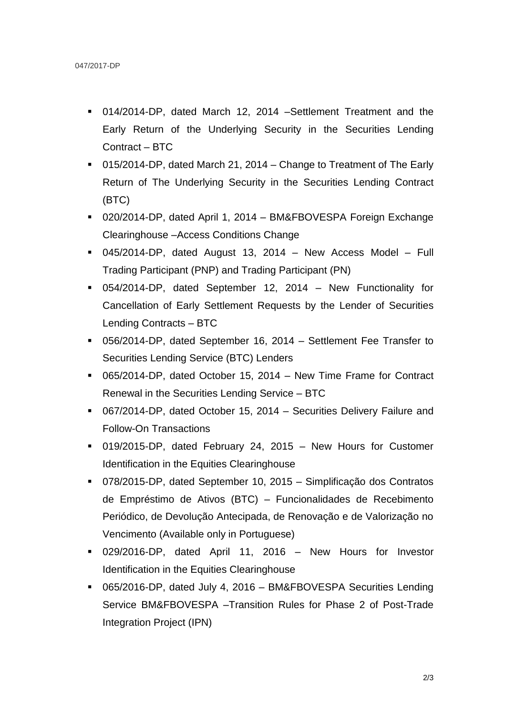- 014/2014-DP, dated March 12, 2014 –Settlement Treatment and the Early Return of the Underlying Security in the Securities Lending Contract – BTC
- 015/2014-DP, dated March 21, 2014 Change to Treatment of The Early Return of The Underlying Security in the Securities Lending Contract (BTC)
- 020/2014-DP, dated April 1, 2014 BM&FBOVESPA Foreign Exchange Clearinghouse –Access Conditions Change
- 045/2014-DP, dated August 13, 2014 New Access Model Full Trading Participant (PNP) and Trading Participant (PN)
- 054/2014-DP, dated September 12, 2014 New Functionality for Cancellation of Early Settlement Requests by the Lender of Securities Lending Contracts – BTC
- 056/2014-DP, dated September 16, 2014 Settlement Fee Transfer to Securities Lending Service (BTC) Lenders
- 065/2014-DP, dated October 15, 2014 New Time Frame for Contract Renewal in the Securities Lending Service – BTC
- 067/2014-DP, dated October 15, 2014 Securities Delivery Failure and Follow-On Transactions
- 019/2015-DP, dated February 24, 2015 New Hours for Customer Identification in the Equities Clearinghouse
- 078/2015-DP, dated September 10, 2015 Simplificação dos Contratos de Empréstimo de Ativos (BTC) – Funcionalidades de Recebimento Periódico, de Devolução Antecipada, de Renovação e de Valorização no Vencimento (Available only in Portuguese)
- 029/2016-DP, dated April 11, 2016 New Hours for Investor Identification in the Equities Clearinghouse
- 065/2016-DP, dated July 4, 2016 BM&FBOVESPA Securities Lending Service BM&FBOVESPA –Transition Rules for Phase 2 of Post-Trade Integration Project (IPN)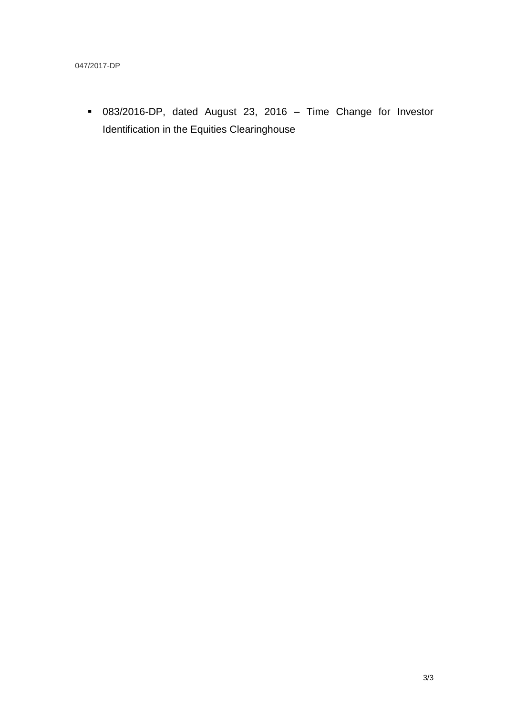083/2016-DP, dated August 23, 2016 – Time Change for Investor Identification in the Equities Clearinghouse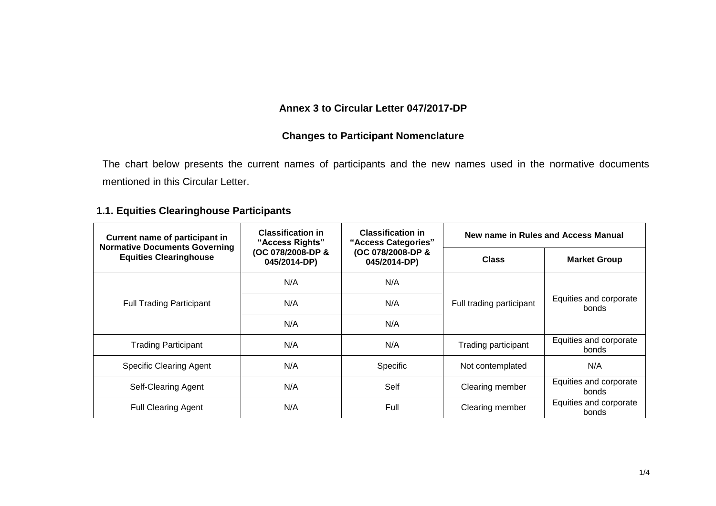## **Annex 3 to Circular Letter 047/2017-DP**

## **Changes to Participant Nomenclature**

The chart below presents the current names of participants and the new names used in the normative documents mentioned in this Circular Letter.

## **1.1. Equities Clearinghouse Participants**

| Current name of participant in<br><b>Normative Documents Governing</b><br><b>Equities Clearinghouse</b> | <b>Classification in</b><br>"Access Rights"<br>(OC 078/2008-DP &<br>045/2014-DP) | <b>Classification in</b><br>"Access Categories"<br>(OC 078/2008-DP &<br>045/2014-DP) | New name in Rules and Access Manual |                                 |
|---------------------------------------------------------------------------------------------------------|----------------------------------------------------------------------------------|--------------------------------------------------------------------------------------|-------------------------------------|---------------------------------|
|                                                                                                         |                                                                                  |                                                                                      | <b>Class</b>                        | <b>Market Group</b>             |
| <b>Full Trading Participant</b>                                                                         | N/A                                                                              | N/A                                                                                  | Full trading participant            | Equities and corporate<br>bonds |
|                                                                                                         | N/A                                                                              | N/A                                                                                  |                                     |                                 |
|                                                                                                         | N/A                                                                              | N/A                                                                                  |                                     |                                 |
| <b>Trading Participant</b>                                                                              | N/A                                                                              | N/A                                                                                  | Trading participant                 | Equities and corporate<br>bonds |
| <b>Specific Clearing Agent</b>                                                                          | N/A                                                                              | Specific                                                                             | Not contemplated                    | N/A                             |
| Self-Clearing Agent                                                                                     | N/A                                                                              | Self                                                                                 | Clearing member                     | Equities and corporate<br>bonds |
| <b>Full Clearing Agent</b>                                                                              | N/A                                                                              | Full                                                                                 | Clearing member                     | Equities and corporate<br>bonds |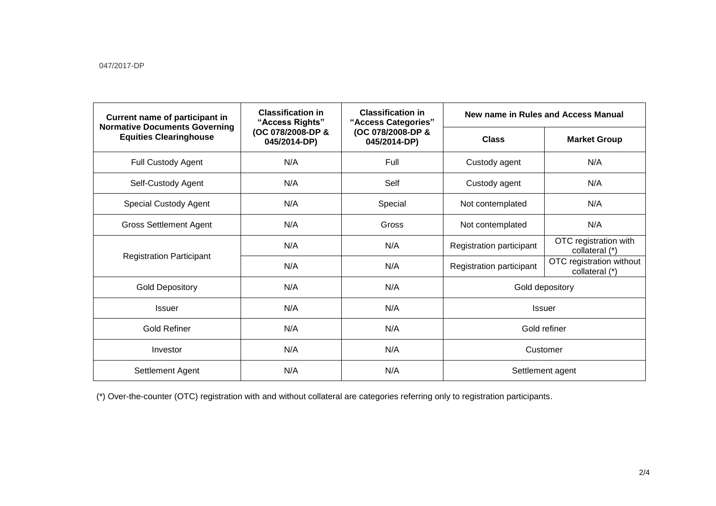| <b>Current name of participant in</b><br><b>Normative Documents Governing</b><br><b>Equities Clearinghouse</b> | <b>Classification in</b><br>"Access Rights"<br>(OC 078/2008-DP &<br>045/2014-DP) | <b>Classification in</b><br>"Access Categories"<br>(OC 078/2008-DP &<br>045/2014-DP) | New name in Rules and Access Manual |                                            |
|----------------------------------------------------------------------------------------------------------------|----------------------------------------------------------------------------------|--------------------------------------------------------------------------------------|-------------------------------------|--------------------------------------------|
|                                                                                                                |                                                                                  |                                                                                      | <b>Class</b>                        | <b>Market Group</b>                        |
| <b>Full Custody Agent</b>                                                                                      | N/A                                                                              | Full                                                                                 | Custody agent                       | N/A                                        |
| Self-Custody Agent                                                                                             | N/A                                                                              | Self                                                                                 | Custody agent                       | N/A                                        |
| <b>Special Custody Agent</b>                                                                                   | N/A                                                                              | Special                                                                              | Not contemplated                    | N/A                                        |
| <b>Gross Settlement Agent</b>                                                                                  | N/A                                                                              | Gross                                                                                | Not contemplated                    | N/A                                        |
| <b>Registration Participant</b>                                                                                | N/A                                                                              | N/A                                                                                  | Registration participant            | OTC registration with<br>collateral (*)    |
|                                                                                                                | N/A                                                                              | N/A                                                                                  | Registration participant            | OTC registration without<br>collateral (*) |
| <b>Gold Depository</b>                                                                                         | N/A                                                                              | N/A                                                                                  | Gold depository                     |                                            |
| <b>Issuer</b>                                                                                                  | N/A                                                                              | N/A                                                                                  | <b>Issuer</b>                       |                                            |
| <b>Gold Refiner</b>                                                                                            | N/A                                                                              | N/A                                                                                  | Gold refiner                        |                                            |
| Investor                                                                                                       | N/A                                                                              | N/A                                                                                  | Customer                            |                                            |
| Settlement Agent                                                                                               | N/A                                                                              | N/A                                                                                  | Settlement agent                    |                                            |

(\*) Over-the-counter (OTC) registration with and without collateral are categories referring only to registration participants.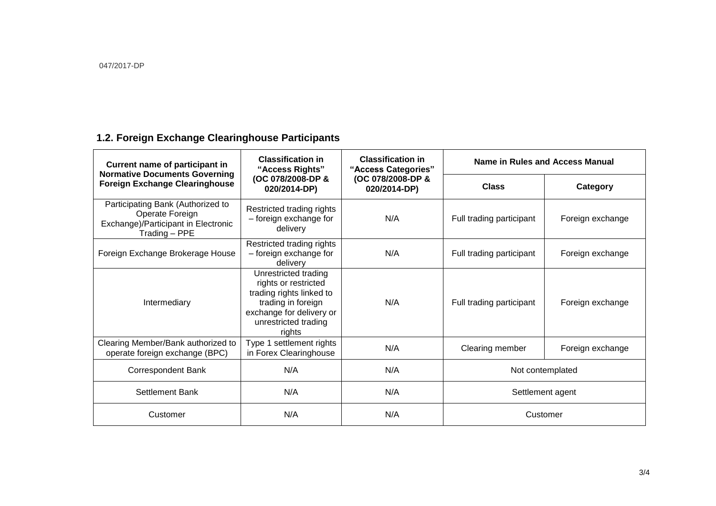# **1.2. Foreign Exchange Clearinghouse Participants**

| <b>Current name of participant in</b><br><b>Normative Documents Governing</b><br><b>Foreign Exchange Clearinghouse</b> | <b>Classification in</b><br>"Access Rights"<br>(OC 078/2008-DP &<br>020/2014-DP)                                                                             | <b>Classification in</b><br>"Access Categories"<br>(OC 078/2008-DP &<br>020/2014-DP) | Name in Rules and Access Manual |                  |
|------------------------------------------------------------------------------------------------------------------------|--------------------------------------------------------------------------------------------------------------------------------------------------------------|--------------------------------------------------------------------------------------|---------------------------------|------------------|
|                                                                                                                        |                                                                                                                                                              |                                                                                      | <b>Class</b>                    | Category         |
| Participating Bank (Authorized to<br>Operate Foreign<br>Exchange)/Participant in Electronic<br>Trading - PPE           | Restricted trading rights<br>- foreign exchange for<br>delivery                                                                                              | N/A                                                                                  | Full trading participant        | Foreign exchange |
| Foreign Exchange Brokerage House                                                                                       | Restricted trading rights<br>- foreign exchange for<br>delivery                                                                                              | N/A                                                                                  | Full trading participant        | Foreign exchange |
| Intermediary                                                                                                           | Unrestricted trading<br>rights or restricted<br>trading rights linked to<br>trading in foreign<br>exchange for delivery or<br>unrestricted trading<br>rights | N/A                                                                                  | Full trading participant        | Foreign exchange |
| Clearing Member/Bank authorized to<br>operate foreign exchange (BPC)                                                   | Type 1 settlement rights<br>in Forex Clearinghouse                                                                                                           | N/A                                                                                  | Clearing member                 | Foreign exchange |
| Correspondent Bank                                                                                                     | N/A                                                                                                                                                          | N/A                                                                                  | Not contemplated                |                  |
| Settlement Bank                                                                                                        | N/A                                                                                                                                                          | N/A                                                                                  | Settlement agent                |                  |
| Customer                                                                                                               | N/A                                                                                                                                                          | N/A                                                                                  | Customer                        |                  |